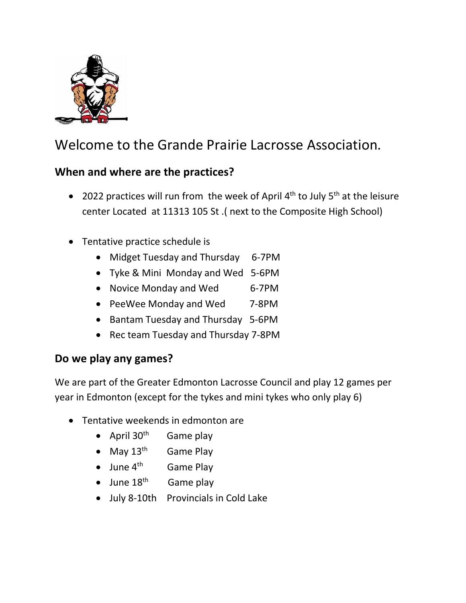

# Welcome to the Grande Prairie Lacrosse Association.

#### **When and where are the practices?**

- 2022 practices will run from the week of April  $4<sup>th</sup>$  to July 5<sup>th</sup> at the leisure center Located at 11313 105 St .( next to the Composite High School)
- Tentative practice schedule is
	- Midget Tuesday and Thursday 6-7PM
	- Tyke & Mini Monday and Wed 5-6PM
	- Novice Monday and Wed 6-7PM
	- PeeWee Monday and Wed 7-8PM
	- Bantam Tuesday and Thursday 5-6PM
	- Rec team Tuesday and Thursday 7-8PM

#### **Do we play any games?**

We are part of the Greater Edmonton Lacrosse Council and play 12 games per year in Edmonton (except for the tykes and mini tykes who only play 6)

- Tentative weekends in edmonton are
	- April  $30<sup>th</sup>$ Game play
	- May  $13^{\text{th}}$ Game Play
	- $\bullet$  June 4<sup>th</sup> Game Play
	- $\bullet$  June  $18^{\text{th}}$ Game play
	- July 8-10th Provincials in Cold Lake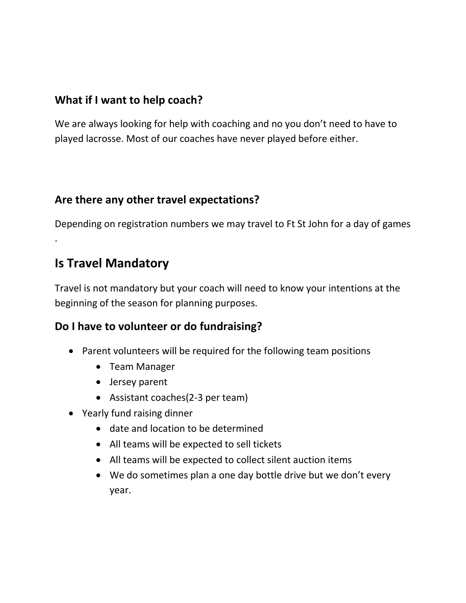#### **What if I want to help coach?**

We are always looking for help with coaching and no you don't need to have to played lacrosse. Most of our coaches have never played before either.

#### **Are there any other travel expectations?**

Depending on registration numbers we may travel to Ft St John for a day of games

# **Is Travel Mandatory**

.

Travel is not mandatory but your coach will need to know your intentions at the beginning of the season for planning purposes.

#### **Do I have to volunteer or do fundraising?**

- Parent volunteers will be required for the following team positions
	- Team Manager
	- Jersey parent
	- Assistant coaches(2-3 per team)
- Yearly fund raising dinner
	- date and location to be determined
	- All teams will be expected to sell tickets
	- All teams will be expected to collect silent auction items
	- We do sometimes plan a one day bottle drive but we don't every year.